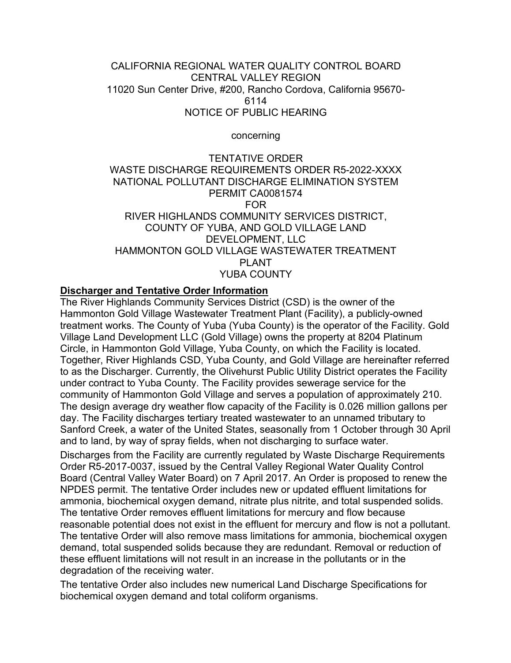### CALIFORNIA REGIONAL WATER QUALITY CONTROL BOARD CENTRAL VALLEY REGION 11020 Sun Center Drive, #200, Rancho Cordova, California 95670- 6114 NOTICE OF PUBLIC HEARING

concerning

#### TENTATIVE ORDER WASTE DISCHARGE REQUIREMENTS ORDER R5-2022-XXXX NATIONAL POLLUTANT DISCHARGE ELIMINATION SYSTEM PERMIT CA0081574 FOR RIVER HIGHLANDS COMMUNITY SERVICES DISTRICT, COUNTY OF YUBA, AND GOLD VILLAGE LAND DEVELOPMENT, LLC HAMMONTON GOLD VILLAGE WASTEWATER TREATMENT PLANT YUBA COUNTY

### **Discharger and Tentative Order Information**

The River Highlands Community Services District (CSD) is the owner of the Hammonton Gold Village Wastewater Treatment Plant (Facility), a publicly-owned treatment works. The County of Yuba (Yuba County) is the operator of the Facility. Gold Village Land Development LLC (Gold Village) owns the property at 8204 Platinum Circle, in Hammonton Gold Village, Yuba County, on which the Facility is located. Together, River Highlands CSD, Yuba County, and Gold Village are hereinafter referred to as the Discharger. Currently, the Olivehurst Public Utility District operates the Facility under contract to Yuba County. The Facility provides sewerage service for the community of Hammonton Gold Village and serves a population of approximately 210. The design average dry weather flow capacity of the Facility is 0.026 million gallons per day. The Facility discharges tertiary treated wastewater to an unnamed tributary to Sanford Creek, a water of the United States, seasonally from 1 October through 30 April and to land, by way of spray fields, when not discharging to surface water.

Discharges from the Facility are currently regulated by Waste Discharge Requirements Order R5-2017-0037, issued by the Central Valley Regional Water Quality Control Board (Central Valley Water Board) on 7 April 2017. An Order is proposed to renew the NPDES permit. The tentative Order includes new or updated effluent limitations for ammonia, biochemical oxygen demand, nitrate plus nitrite, and total suspended solids. The tentative Order removes effluent limitations for mercury and flow because reasonable potential does not exist in the effluent for mercury and flow is not a pollutant. The tentative Order will also remove mass limitations for ammonia, biochemical oxygen demand, total suspended solids because they are redundant. Removal or reduction of these effluent limitations will not result in an increase in the pollutants or in the degradation of the receiving water.

The tentative Order also includes new numerical Land Discharge Specifications for biochemical oxygen demand and total coliform organisms.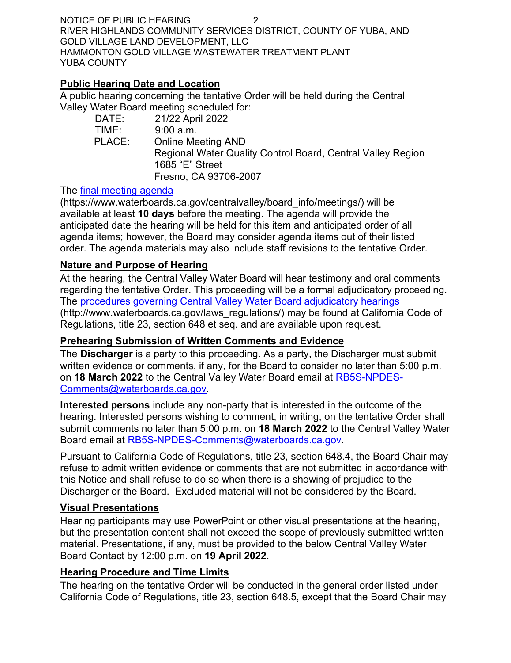NOTICE OF PUBLIC HEARING 2 RIVER HIGHLANDS COMMUNITY SERVICES DISTRICT, COUNTY OF YUBA, AND GOLD VILLAGE LAND DEVELOPMENT, LLC HAMMONTON GOLD VILLAGE WASTEWATER TREATMENT PLANT YUBA COUNTY

### **Public Hearing Date and Location**

A public hearing concerning the tentative Order will be held during the Central Valley Water Board meeting scheduled for:

| DATE:  | 21/22 April 2022                                            |
|--------|-------------------------------------------------------------|
| TIME:  | 9:00 a.m.                                                   |
| PLACE: | <b>Online Meeting AND</b>                                   |
|        | Regional Water Quality Control Board, Central Valley Region |
|        | 1685 "E" Street                                             |
|        | Fresno, CA 93706-2007                                       |
|        |                                                             |

### The [final meeting agenda](https://www.waterboards.ca.gov/centralvalley/board_info/meetings/)

(https://www.waterboards.ca.gov/centralvalley/board\_info/meetings/) will be available at least **10 days** before the meeting. The agenda will provide the anticipated date the hearing will be held for this item and anticipated order of all agenda items; however, the Board may consider agenda items out of their listed order. The agenda materials may also include staff revisions to the tentative Order.

# **Nature and Purpose of Hearing**

At the hearing, the Central Valley Water Board will hear testimony and oral comments regarding the tentative Order. This proceeding will be a formal adjudicatory proceeding. The [procedures governing Central Valley Water Board adjudicatory hearings](http://www.waterboards.ca.gov/laws_regulations/) (http://www.waterboards.ca.gov/laws\_regulations/) may be found at California Code of Regulations, title 23, section 648 et seq. and are available upon request.

# **Prehearing Submission of Written Comments and Evidence**

The **Discharger** is a party to this proceeding. As a party, the Discharger must submit written evidence or comments, if any, for the Board to consider no later than 5:00 p.m. on **18 March 2022** to the Central Valley Water Board email at [RB5S-NPDES-](mailto:RB5S-NPDES-Comments@waterboards.ca.gov)[Comments@waterboards.ca.gov.](mailto:RB5S-NPDES-Comments@waterboards.ca.gov)

**Interested persons** include any non-party that is interested in the outcome of the hearing. Interested persons wishing to comment, in writing, on the tentative Order shall submit comments no later than 5:00 p.m. on **18 March 2022** to the Central Valley Water Board email at [RB5S-NPDES-Comments@waterboards.ca.gov](mailto:RB5S-NPDES-Comments@waterboards.ca.gov).

Pursuant to California Code of Regulations, title 23, section 648.4, the Board Chair may refuse to admit written evidence or comments that are not submitted in accordance with this Notice and shall refuse to do so when there is a showing of prejudice to the Discharger or the Board. Excluded material will not be considered by the Board.

### **Visual Presentations**

Hearing participants may use PowerPoint or other visual presentations at the hearing, but the presentation content shall not exceed the scope of previously submitted written material. Presentations, if any, must be provided to the below Central Valley Water Board Contact by 12:00 p.m. on **19 April 2022**.

# **Hearing Procedure and Time Limits**

The hearing on the tentative Order will be conducted in the general order listed under California Code of Regulations, title 23, section 648.5, except that the Board Chair may